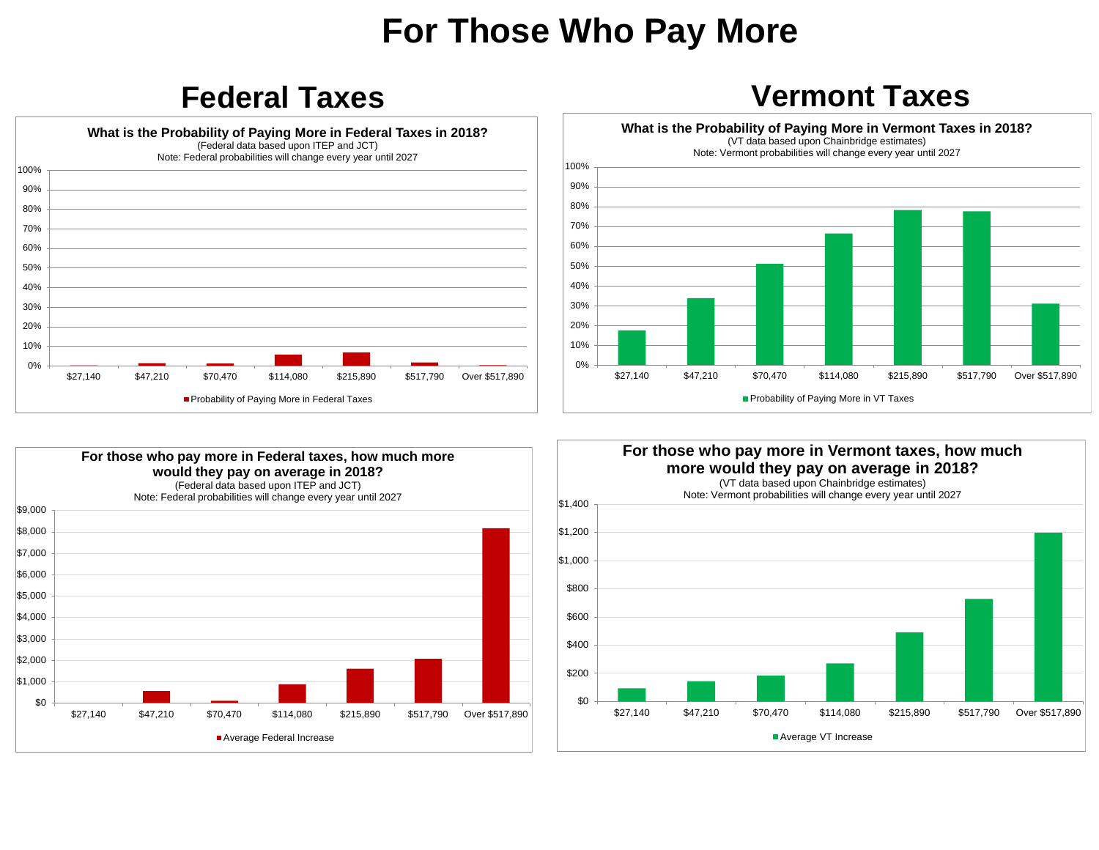## **For Those Who Pay More**



## **Federal Taxes Vermont Taxes**





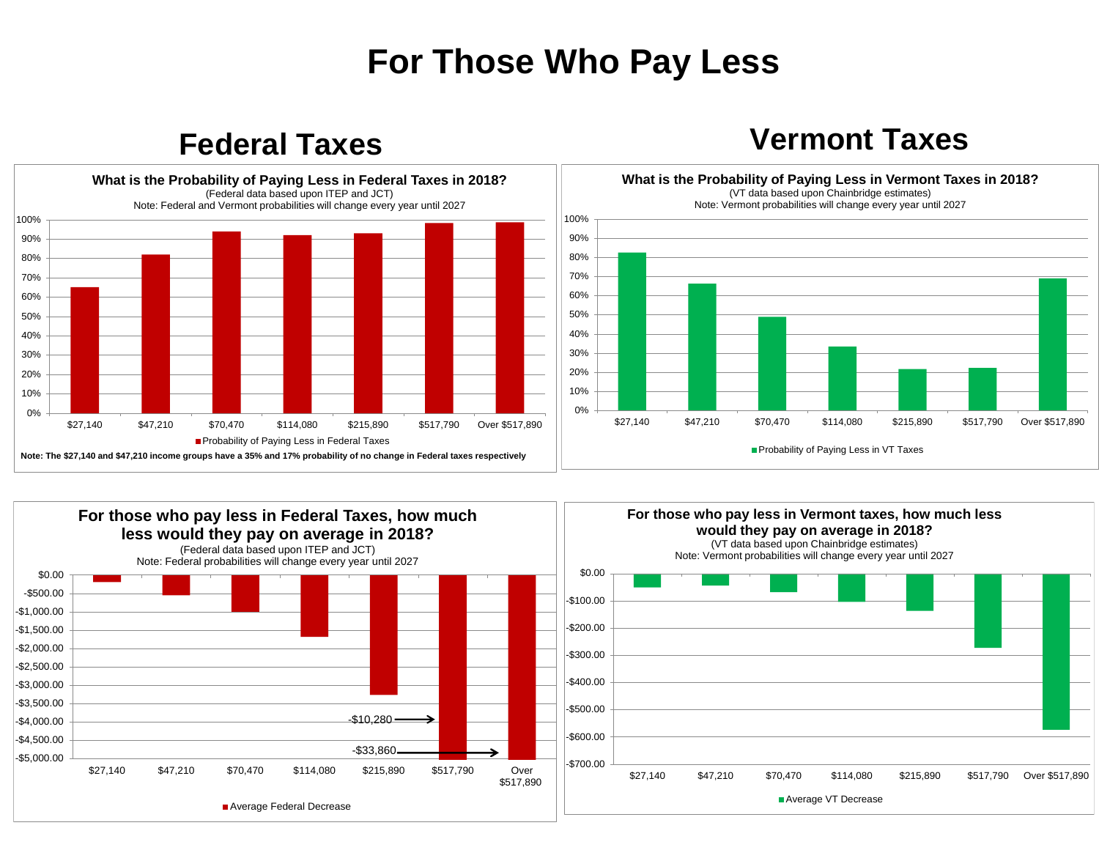## **For Those Who Pay Less**

**Federal Taxes Vermont Taxes**



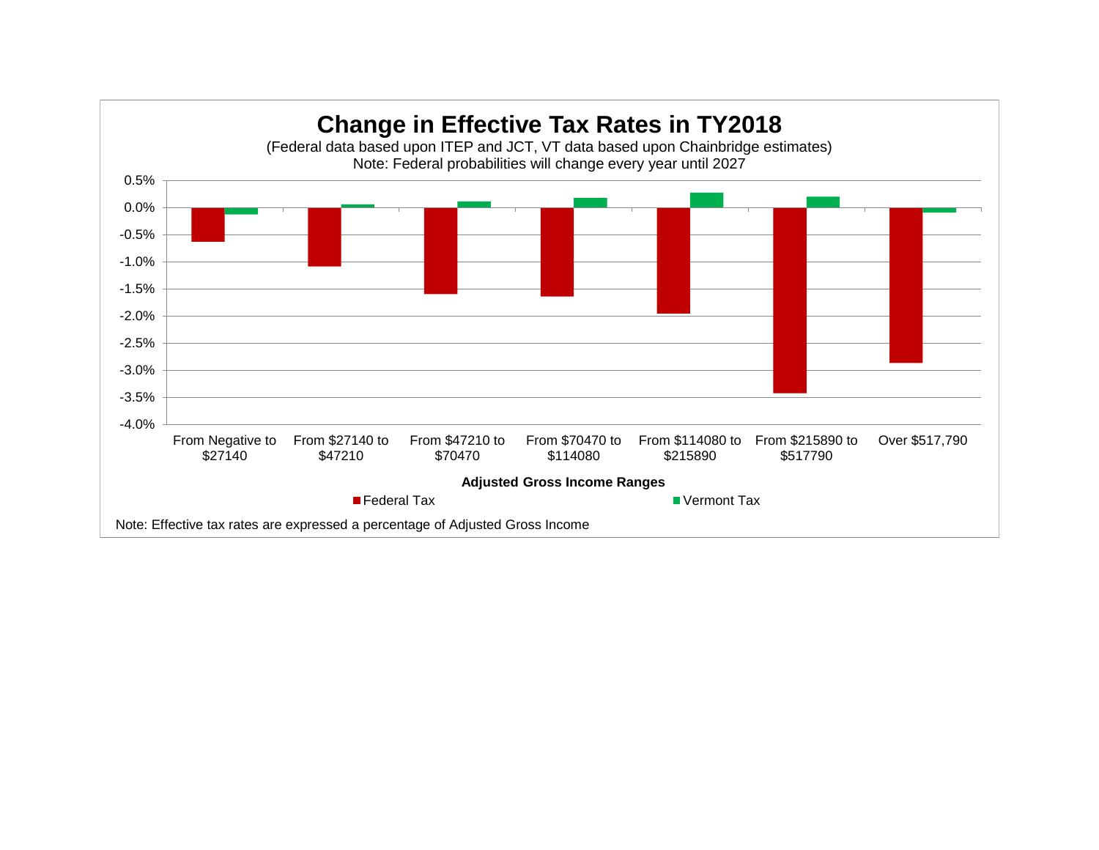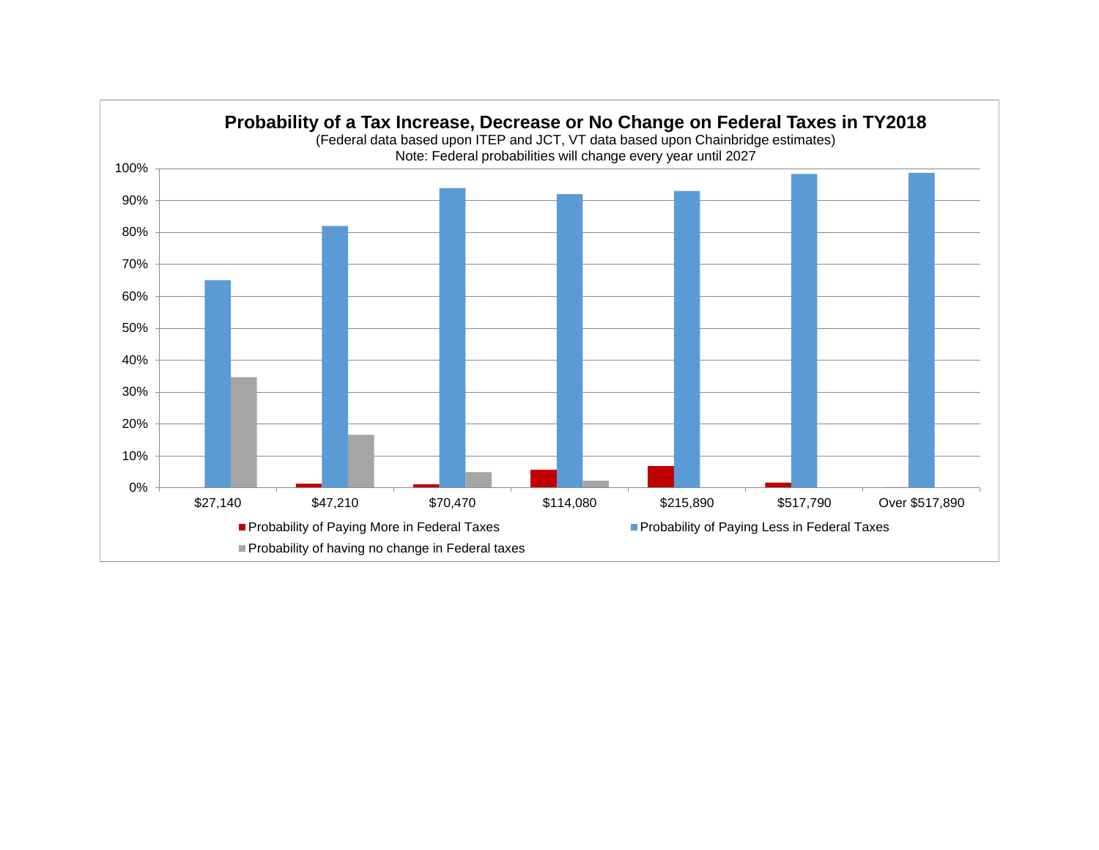